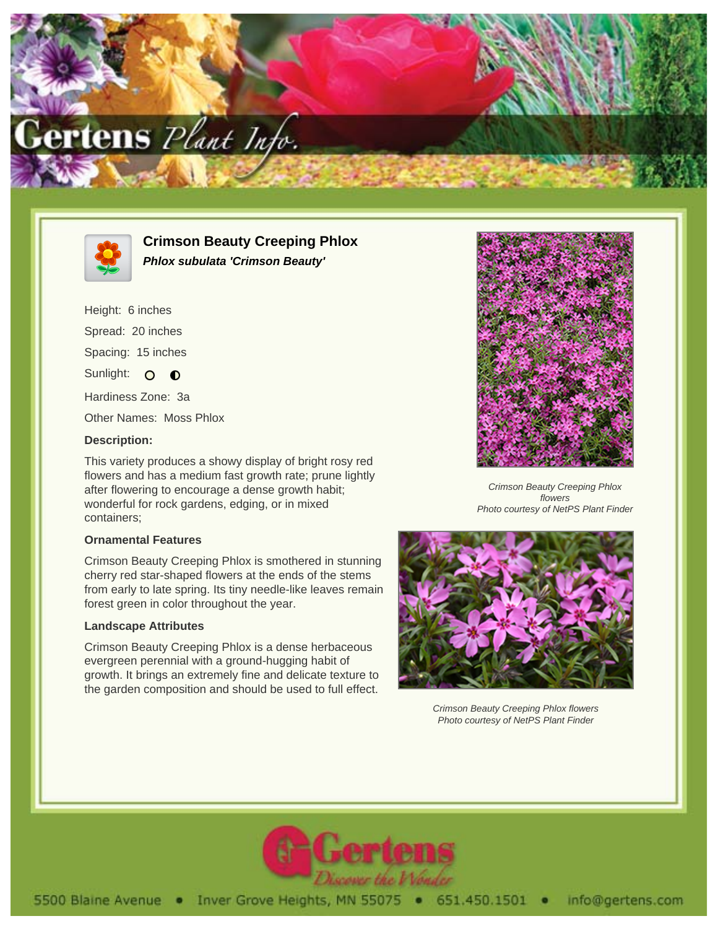

![](_page_0_Picture_1.jpeg)

**Crimson Beauty Creeping Phlox Phlox subulata 'Crimson Beauty'**

Height: 6 inches Spread: 20 inches Spacing: 15 inches Sunlight: O **O** Hardiness Zone: 3a Other Names: Moss Phlox

## **Description:**

This variety produces a showy display of bright rosy red flowers and has a medium fast growth rate; prune lightly after flowering to encourage a dense growth habit; wonderful for rock gardens, edging, or in mixed containers;

## **Ornamental Features**

Crimson Beauty Creeping Phlox is smothered in stunning cherry red star-shaped flowers at the ends of the stems from early to late spring. Its tiny needle-like leaves remain forest green in color throughout the year.

## **Landscape Attributes**

Crimson Beauty Creeping Phlox is a dense herbaceous evergreen perennial with a ground-hugging habit of growth. It brings an extremely fine and delicate texture to the garden composition and should be used to full effect.

![](_page_0_Picture_10.jpeg)

Crimson Beauty Creeping Phlox flowers Photo courtesy of NetPS Plant Finder

![](_page_0_Picture_12.jpeg)

Crimson Beauty Creeping Phlox flowers Photo courtesy of NetPS Plant Finder

![](_page_0_Picture_14.jpeg)